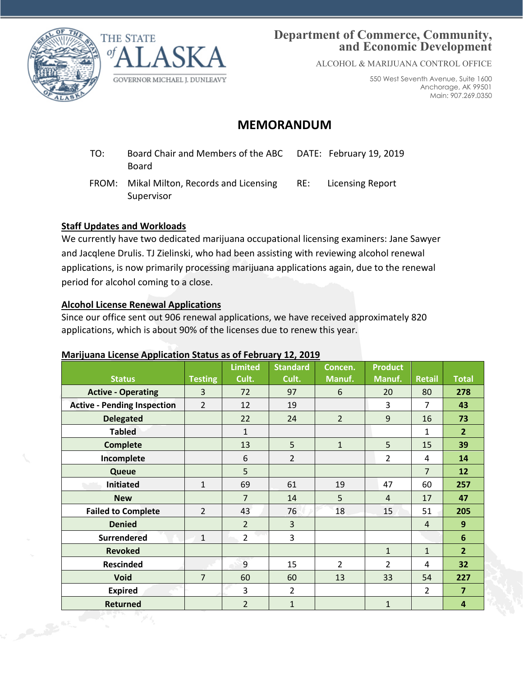



## **Department of Commerce, Community, and Economic Development**

ALCOHOL & MARIJUANA CONTROL OFFICE

550 West Seventh Avenue, Suite 1600 Anchorage, AK 99501 Main: 907.269.0350

# **MEMORANDUM**

- TO: Board Chair and Members of the ABC Board DATE: February 19, 2019
- FROM: Mikal Milton, Records and Licensing Supervisor RE: Licensing Report

### **Staff Updates and Workloads**

We currently have two dedicated marijuana occupational licensing examiners: Jane Sawyer and Jacqlene Drulis. TJ Zielinski, who had been assisting with reviewing alcohol renewal applications, is now primarily processing marijuana applications again, due to the renewal period for alcohol coming to a close.

### **Alcohol License Renewal Applications**

Since our office sent out 906 renewal applications, we have received approximately 820 applications, which is about 90% of the licenses due to renew this year.

### **Marijuana License Application Status as of February 12, 2019**

|                   | <b>Status</b>                      | <b>Testing</b> | <b>Limited</b><br>Cult. | <b>Standard</b><br>Cult. | Concen.<br>Manuf. | <b>Product</b><br>Manuf. | <b>Retail</b>  | <b>Total</b>            |
|-------------------|------------------------------------|----------------|-------------------------|--------------------------|-------------------|--------------------------|----------------|-------------------------|
|                   | <b>Active - Operating</b>          | 3              | 72                      | 97                       | 6                 | 20                       | 80             | 278                     |
|                   | <b>Active - Pending Inspection</b> | $\overline{2}$ | 12                      | 19                       |                   | $\overline{3}$           | $\overline{7}$ | 43                      |
|                   | <b>Delegated</b>                   |                | 22                      | 24                       | $\overline{2}$    | $\overline{9}$           | 16             | 73                      |
|                   | <b>Tabled</b>                      |                | $\mathbf{1}$            |                          |                   |                          | $\mathbf{1}$   | $\overline{2}$          |
|                   | <b>Complete</b>                    |                | 13                      | 5                        | $\mathbf{1}$      | 5                        | 15             | 39                      |
|                   | Incomplete                         |                | 6                       | $\overline{2}$           |                   | $\overline{2}$           | $\overline{4}$ | 14                      |
|                   | <b>Queue</b>                       |                | 5                       |                          |                   |                          | $\overline{7}$ | 12                      |
|                   | <b>Initiated</b>                   | $\mathbf{1}$   | 69                      | 61                       | 19                | 47                       | 60             | 257                     |
|                   | <b>New</b>                         |                | $\overline{7}$          | 14                       | 5                 | $\overline{4}$           | 17             | 47                      |
|                   | <b>Failed to Complete</b>          | $\overline{2}$ | 43                      | 76                       | 18                | 15                       | 51             | 205                     |
|                   | <b>Denied</b>                      |                | $\overline{2}$          | 3                        |                   |                          | $\overline{4}$ | $\overline{9}$          |
|                   | <b>Surrendered</b>                 | $\mathbf{1}$   | $\overline{2}$          | 3                        |                   |                          |                | $6\phantom{1}$          |
|                   | <b>Revoked</b>                     |                |                         |                          |                   | $\mathbf{1}$             | $\mathbf{1}$   | $\overline{2}$          |
|                   | <b>Rescinded</b>                   |                | $\overline{9}$          | 15                       | $\overline{2}$    | $\overline{2}$           | $\overline{4}$ | 32                      |
|                   | Void                               | $\overline{7}$ | 60                      | 60                       | 13                | 33                       | 54             | 227                     |
|                   | <b>Expired</b>                     |                | 3                       | $\overline{2}$           |                   |                          | $\overline{2}$ | $\overline{7}$          |
|                   | <b>Returned</b>                    |                | $\overline{2}$          | $\mathbf{1}$             |                   | $\mathbf{1}$             |                | $\overline{\mathbf{4}}$ |
| Public Contractor |                                    |                |                         |                          |                   |                          |                |                         |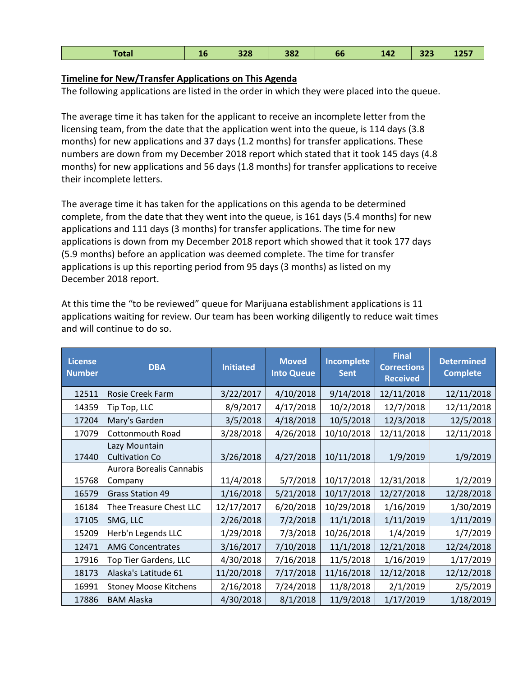#### **Timeline for New/Transfer Applications on This Agenda**

The following applications are listed in the order in which they were placed into the queue.

The average time it has taken for the applicant to receive an incomplete letter from the licensing team, from the date that the application went into the queue, is 114 days (3.8 months) for new applications and 37 days (1.2 months) for transfer applications. These numbers are down from my December 2018 report which stated that it took 145 days (4.8 months) for new applications and 56 days (1.8 months) for transfer applications to receive their incomplete letters.

The average time it has taken for the applications on this agenda to be determined complete, from the date that they went into the queue, is 161 days (5.4 months) for new applications and 111 days (3 months) for transfer applications. The time for new applications is down from my December 2018 report which showed that it took 177 days (5.9 months) before an application was deemed complete. The time for transfer applications is up this reporting period from 95 days (3 months) as listed on my December 2018 report.

At this time the "to be reviewed" queue for Marijuana establishment applications is 11 applications waiting for review. Our team has been working diligently to reduce wait times and will continue to do so.

| <b>License</b><br><b>Number</b> | <b>DBA</b>                             | <b>Initiated</b> | <b>Moved</b><br><b>Into Queue</b> | Incomplete<br><b>Sent</b> | <b>Final</b><br><b>Corrections</b><br><b>Received</b> | <b>Determined</b><br><b>Complete</b> |
|---------------------------------|----------------------------------------|------------------|-----------------------------------|---------------------------|-------------------------------------------------------|--------------------------------------|
| 12511                           | Rosie Creek Farm                       | 3/22/2017        | 4/10/2018                         | 9/14/2018                 | 12/11/2018                                            | 12/11/2018                           |
| 14359                           | Tip Top, LLC                           | 8/9/2017         | 4/17/2018                         | 10/2/2018                 | 12/7/2018                                             | 12/11/2018                           |
| 17204                           | Mary's Garden                          | 3/5/2018         | 4/18/2018                         | 10/5/2018                 | 12/3/2018                                             | 12/5/2018                            |
| 17079                           | <b>Cottonmouth Road</b>                | 3/28/2018        | 4/26/2018                         | 10/10/2018                | 12/11/2018                                            | 12/11/2018                           |
| 17440                           | Lazy Mountain<br><b>Cultivation Co</b> | 3/26/2018        | 4/27/2018                         | 10/11/2018                | 1/9/2019                                              | 1/9/2019                             |
|                                 | Aurora Borealis Cannabis               |                  |                                   |                           |                                                       |                                      |
| 15768                           | Company                                | 11/4/2018        | 5/7/2018                          | 10/17/2018                | 12/31/2018                                            | 1/2/2019                             |
| 16579                           | <b>Grass Station 49</b>                | 1/16/2018        | 5/21/2018                         | 10/17/2018                | 12/27/2018                                            | 12/28/2018                           |
| 16184                           | Thee Treasure Chest LLC                | 12/17/2017       | 6/20/2018                         | 10/29/2018                | 1/16/2019                                             | 1/30/2019                            |
| 17105                           | SMG, LLC                               | 2/26/2018        | 7/2/2018                          | 11/1/2018                 | 1/11/2019                                             | 1/11/2019                            |
| 15209                           | Herb'n Legends LLC                     | 1/29/2018        | 7/3/2018                          | 10/26/2018                | 1/4/2019                                              | 1/7/2019                             |
| 12471                           | <b>AMG Concentrates</b>                | 3/16/2017        | 7/10/2018                         | 11/1/2018                 | 12/21/2018                                            | 12/24/2018                           |
| 17916                           | Top Tier Gardens, LLC                  | 4/30/2018        | 7/16/2018                         | 11/5/2018                 | 1/16/2019                                             | 1/17/2019                            |
| 18173                           | Alaska's Latitude 61                   | 11/20/2018       | 7/17/2018                         | 11/16/2018                | 12/12/2018                                            | 12/12/2018                           |
| 16991                           | <b>Stoney Moose Kitchens</b>           | 2/16/2018        | 7/24/2018                         | 11/8/2018                 | 2/1/2019                                              | 2/5/2019                             |
| 17886                           | <b>BAM Alaska</b>                      | 4/30/2018        | 8/1/2018                          | 11/9/2018                 | 1/17/2019                                             | 1/18/2019                            |